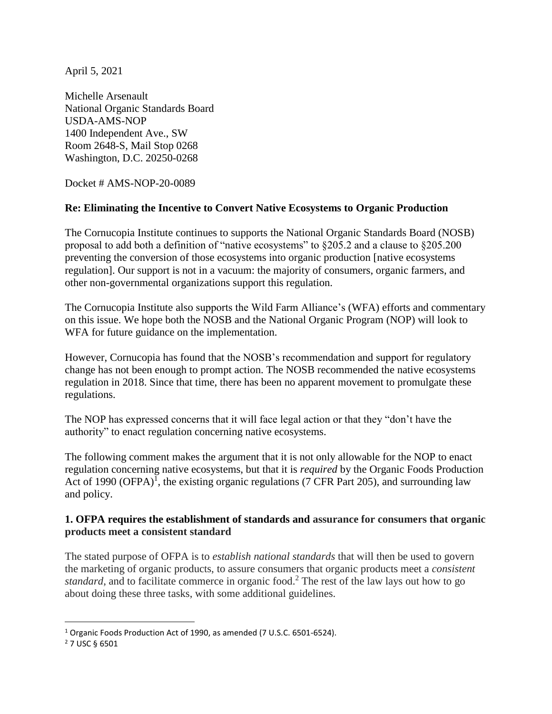April 5, 2021

Michelle Arsenault National Organic Standards Board USDA-AMS-NOP 1400 Independent Ave., SW Room 2648-S, Mail Stop 0268 Washington, D.C. 20250-0268

Docket # AMS-NOP-20-0089

## **Re: Eliminating the Incentive to Convert Native Ecosystems to Organic Production**

The Cornucopia Institute continues to supports the National Organic Standards Board (NOSB) proposal to add both a definition of "native ecosystems" to §205.2 and a clause to §205.200 preventing the conversion of those ecosystems into organic production [native ecosystems regulation]. Our support is not in a vacuum: the majority of consumers, organic farmers, and other non-governmental organizations support this regulation.

The Cornucopia Institute also supports the Wild Farm Alliance's (WFA) efforts and commentary on this issue. We hope both the NOSB and the National Organic Program (NOP) will look to WFA for future guidance on the implementation.

However, Cornucopia has found that the NOSB's recommendation and support for regulatory change has not been enough to prompt action. The NOSB recommended the native ecosystems regulation in 2018. Since that time, there has been no apparent movement to promulgate these regulations.

The NOP has expressed concerns that it will face legal action or that they "don't have the authority" to enact regulation concerning native ecosystems.

The following comment makes the argument that it is not only allowable for the NOP to enact regulation concerning native ecosystems, but that it is *required* by the Organic Foods Production Act of 1990 (OFPA)<sup> $\overline{I}$ </sup>, the existing organic regulations (7 CFR Part 205), and surrounding law and policy.

#### **1. OFPA requires the establishment of standards and assurance for consumers that organic products meet a consistent standard**

The stated purpose of OFPA is to *establish national standards* that will then be used to govern the marketing of organic products, to assure consumers that organic products meet a *consistent standard*, and to facilitate commerce in organic food.<sup>2</sup> The rest of the law lays out how to go about doing these three tasks, with some additional guidelines.

<sup>1</sup> Organic Foods Production Act of 1990, as amended (7 U.S.C. 6501-6524).

<sup>2</sup> 7 USC § 6501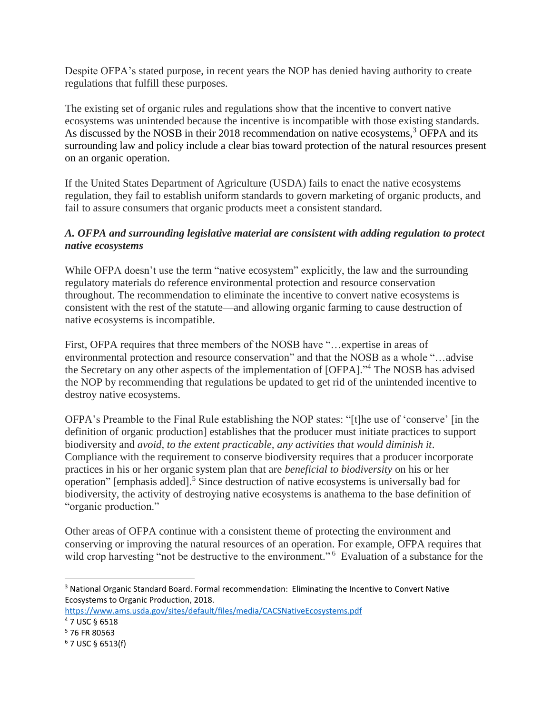Despite OFPA's stated purpose, in recent years the NOP has denied having authority to create regulations that fulfill these purposes.

The existing set of organic rules and regulations show that the incentive to convert native ecosystems was unintended because the incentive is incompatible with those existing standards. As discussed by the NOSB in their 2018 recommendation on native ecosystems.<sup>3</sup> OFPA and its surrounding law and policy include a clear bias toward protection of the natural resources present on an organic operation.

If the United States Department of Agriculture (USDA) fails to enact the native ecosystems regulation, they fail to establish uniform standards to govern marketing of organic products, and fail to assure consumers that organic products meet a consistent standard.

## *A. OFPA and surrounding legislative material are consistent with adding regulation to protect native ecosystems*

While OFPA doesn't use the term "native ecosystem" explicitly, the law and the surrounding regulatory materials do reference environmental protection and resource conservation throughout. The recommendation to eliminate the incentive to convert native ecosystems is consistent with the rest of the statute—and allowing organic farming to cause destruction of native ecosystems is incompatible.

First, OFPA requires that three members of the NOSB have "...expertise in areas of environmental protection and resource conservation" and that the NOSB as a whole "…advise the Secretary on any other aspects of the implementation of [OFPA]." <sup>4</sup> The NOSB has advised the NOP by recommending that regulations be updated to get rid of the unintended incentive to destroy native ecosystems.

OFPA's Preamble to the Final Rule establishing the NOP states: "[t]he use of 'conserve' [in the definition of organic production] establishes that the producer must initiate practices to support biodiversity and *avoid, to the extent practicable, any activities that would diminish it*. Compliance with the requirement to conserve biodiversity requires that a producer incorporate practices in his or her organic system plan that are *beneficial to biodiversity* on his or her operation" [emphasis added].<sup>5</sup> Since destruction of native ecosystems is universally bad for biodiversity, the activity of destroying native ecosystems is anathema to the base definition of "organic production."

Other areas of OFPA continue with a consistent theme of protecting the environment and conserving or improving the natural resources of an operation. For example, OFPA requires that wild crop harvesting "not be destructive to the environment." <sup>6</sup> Evaluation of a substance for the

 $\overline{a}$ <sup>3</sup> National Organic Standard Board. Formal recommendation: Eliminating the Incentive to Convert Native Ecosystems to Organic Production, 2018.

<https://www.ams.usda.gov/sites/default/files/media/CACSNativeEcosystems.pdf> <sup>4</sup> 7 USC § 6518

<sup>5</sup> 76 FR 80563

 $6$  7 USC § 6513(f)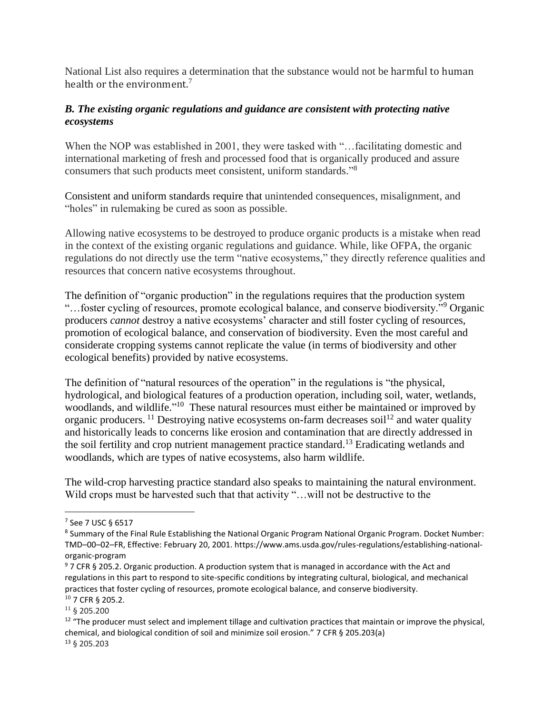National List also requires a determination that the substance would not be harmful to human health or the environment.<sup>7</sup>

## *B. The existing organic regulations and guidance are consistent with protecting native ecosystems*

When the NOP was established in 2001, they were tasked with "...facilitating domestic and international marketing of fresh and processed food that is organically produced and assure consumers that such products meet consistent, uniform standards."<sup>8</sup>

Consistent and uniform standards require that unintended consequences, misalignment, and "holes" in rulemaking be cured as soon as possible.

Allowing native ecosystems to be destroyed to produce organic products is a mistake when read in the context of the existing organic regulations and guidance. While, like OFPA, the organic regulations do not directly use the term "native ecosystems," they directly reference qualities and resources that concern native ecosystems throughout.

The definition of "organic production" in the regulations requires that the production system "…foster cycling of resources, promote ecological balance, and conserve biodiversity."<sup>9</sup> Organic producers *cannot* destroy a native ecosystems' character and still foster cycling of resources, promotion of ecological balance, and conservation of biodiversity. Even the most careful and considerate cropping systems cannot replicate the value (in terms of biodiversity and other ecological benefits) provided by native ecosystems.

The definition of "natural resources of the operation" in the regulations is "the physical, hydrological, and biological features of a production operation, including soil, water, wetlands, woodlands, and wildlife."<sup>10</sup> These natural resources must either be maintained or improved by organic producers. <sup>11</sup> Destroying native ecosystems on-farm decreases soil<sup>12</sup> and water quality and historically leads to concerns like erosion and contamination that are directly addressed in the soil fertility and crop nutrient management practice standard.<sup>13</sup> Eradicating wetlands and woodlands, which are types of native ecosystems, also harm wildlife.

The wild-crop harvesting practice standard also speaks to maintaining the natural environment. Wild crops must be harvested such that that activity "... will not be destructive to the

<sup>7</sup> See 7 USC § 6517

<sup>&</sup>lt;sup>8</sup> Summary of the Final Rule Establishing the National Organic Program National Organic Program. Docket Number: TMD–00–02–FR, Effective: February 20, 2001. https://www.ams.usda.gov/rules-regulations/establishing-nationalorganic-program

<sup>9</sup> 7 CFR § 205.2. Organic production. A production system that is managed in accordance with the Act and regulations in this part to respond to site-specific conditions by integrating cultural, biological, and mechanical practices that foster cycling of resources, promote ecological balance, and conserve biodiversity. <sup>10</sup> 7 CFR § 205.2.

<sup>11</sup> § 205.200

 $12$  "The producer must select and implement tillage and cultivation practices that maintain or improve the physical, chemical, and biological condition of soil and minimize soil erosion." 7 CFR § 205.203(a) <sup>13</sup> § 205.203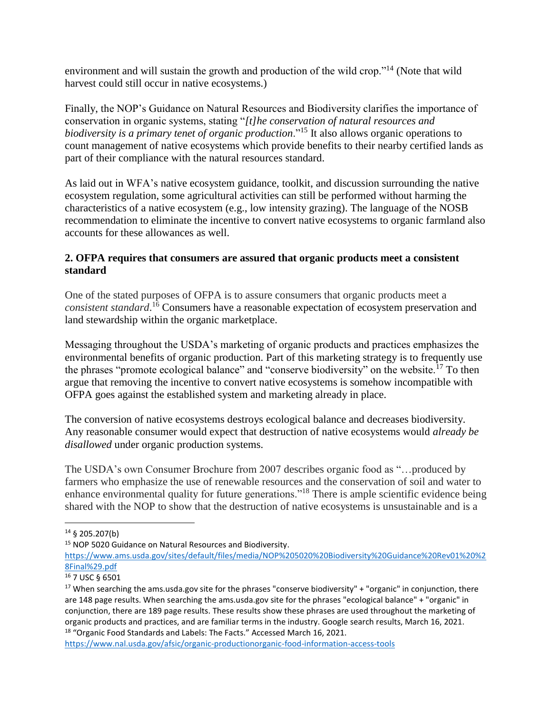environment and will sustain the growth and production of the wild crop."<sup>14</sup> (Note that wild harvest could still occur in native ecosystems.)

Finally, the NOP's Guidance on Natural Resources and Biodiversity clarifies the importance of conservation in organic systems, stating "*[t]he conservation of natural resources and biodiversity is a primary tenet of organic production*."<sup>15</sup> It also allows organic operations to count management of native ecosystems which provide benefits to their nearby certified lands as part of their compliance with the natural resources standard.

As laid out in WFA's native ecosystem guidance, toolkit, and discussion surrounding the native ecosystem regulation, some agricultural activities can still be performed without harming the characteristics of a native ecosystem (e.g., low intensity grazing). The language of the NOSB recommendation to eliminate the incentive to convert native ecosystems to organic farmland also accounts for these allowances as well.

# **2. OFPA requires that consumers are assured that organic products meet a consistent standard**

One of the stated purposes of OFPA is to assure consumers that organic products meet a *consistent standard*. <sup>16</sup> Consumers have a reasonable expectation of ecosystem preservation and land stewardship within the organic marketplace.

Messaging throughout the USDA's marketing of organic products and practices emphasizes the environmental benefits of organic production. Part of this marketing strategy is to frequently use the phrases "promote ecological balance" and "conserve biodiversity" on the website.<sup>17</sup> To then argue that removing the incentive to convert native ecosystems is somehow incompatible with OFPA goes against the established system and marketing already in place.

The conversion of native ecosystems destroys ecological balance and decreases biodiversity. Any reasonable consumer would expect that destruction of native ecosystems would *already be disallowed* under organic production systems.

The USDA's own Consumer Brochure from 2007 describes organic food as "…produced by farmers who emphasize the use of renewable resources and the conservation of soil and water to enhance environmental quality for future generations."<sup>18</sup> There is ample scientific evidence being shared with the NOP to show that the destruction of native ecosystems is unsustainable and is a

<sup>14</sup> § 205.207(b)

<sup>15</sup> NOP 5020 Guidance on Natural Resources and Biodiversity.

[https://www.ams.usda.gov/sites/default/files/media/NOP%205020%20Biodiversity%20Guidance%20Rev01%20%2](https://www.ams.usda.gov/sites/default/files/media/NOP%205020%20Biodiversity%20Guidance%20Rev01%20%28Final%29.pdf) [8Final%29.pdf](https://www.ams.usda.gov/sites/default/files/media/NOP%205020%20Biodiversity%20Guidance%20Rev01%20%28Final%29.pdf)

<sup>16</sup> 7 USC § 6501

 $17$  When searching the ams.usda.gov site for the phrases "conserve biodiversity" + "organic" in conjunction, there are 148 page results. When searching the ams.usda.gov site for the phrases "ecological balance" + "organic" in conjunction, there are 189 page results. These results show these phrases are used throughout the marketing of organic products and practices, and are familiar terms in the industry. Google search results, March 16, 2021. <sup>18</sup> "Organic Food Standards and Labels: The Facts." Accessed March 16, 2021.

<https://www.nal.usda.gov/afsic/organic-productionorganic-food-information-access-tools>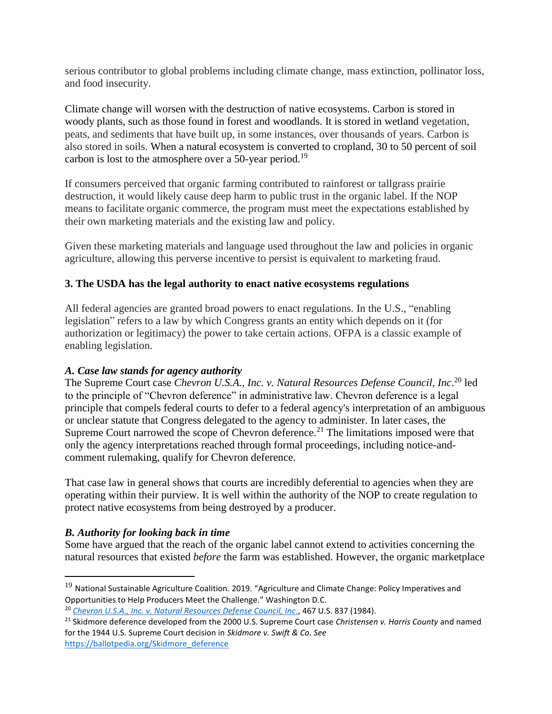serious contributor to global problems including climate change, mass extinction, pollinator loss, and food insecurity.

Climate change will worsen with the destruction of native ecosystems. Carbon is stored in woody plants, such as those found in forest and woodlands. It is stored in wetland vegetation, peats, and sediments that have built up, in some instances, over thousands of years. Carbon is also stored in soils. When a natural ecosystem is converted to cropland, 30 to 50 percent of soil carbon is lost to the atmosphere over a 50-year period.<sup>19</sup>

If consumers perceived that organic farming contributed to rainforest or tallgrass prairie destruction, it would likely cause deep harm to public trust in the organic label. If the NOP means to facilitate organic commerce, the program must meet the expectations established by their own marketing materials and the existing law and policy.

Given these marketing materials and language used throughout the law and policies in organic agriculture, allowing this perverse incentive to persist is equivalent to marketing fraud.

# **3. The USDA has the legal authority to enact native ecosystems regulations**

All federal agencies are granted broad powers to enact regulations. In the U.S., "enabling legislation" refers to a law by which Congress grants an entity which depends on it (for authorization or legitimacy) the power to take certain actions. OFPA is a classic example of enabling legislation.

## *A. Case law stands for agency authority*

The Supreme Court case *Chevron U.S.A., Inc. v. Natural Resources Defense Council, Inc*. <sup>20</sup> led to the principle of "Chevron deference" in administrative law. Chevron deference is a legal principle that compels federal courts to defer to a federal agency's interpretation of an ambiguous or unclear statute that Congress delegated to the agency to administer. In later cases, the Supreme Court narrowed the scope of Chevron deference.<sup>21</sup> The limitations imposed were that only the agency interpretations reached through formal proceedings, including notice-andcomment rulemaking, qualify for Chevron deference.

That case law in general shows that courts are incredibly deferential to agencies when they are operating within their purview. It is well within the authority of the NOP to create regulation to protect native ecosystems from being destroyed by a producer.

# *B. Authority for looking back in time*

 $\overline{a}$ 

Some have argued that the reach of the organic label cannot extend to activities concerning the natural resources that existed *before* the farm was established. However, the organic marketplace

<sup>&</sup>lt;sup>19</sup> National Sustainable Agriculture Coalition. 2019. "Agriculture and Climate Change: Policy Imperatives and Opportunities to Help Producers Meet the Challenge." Washington D.C.

<sup>20</sup> *[Chevron U.S.A., Inc. v. Natural Resources Defense Council, Inc](https://www.law.cornell.edu/supremecourt/text/467/837)*., 467 U.S. 837 (1984).

<sup>21</sup> Skidmore deference developed from the 2000 U.S. Supreme Court case *Christensen v. Harris County* and named for the 1944 U.S. Supreme Court decision in *Skidmore v. Swift & Co. See*  [https://ballotpedia.org/Skidmore\\_deference](https://ballotpedia.org/Skidmore_deference)